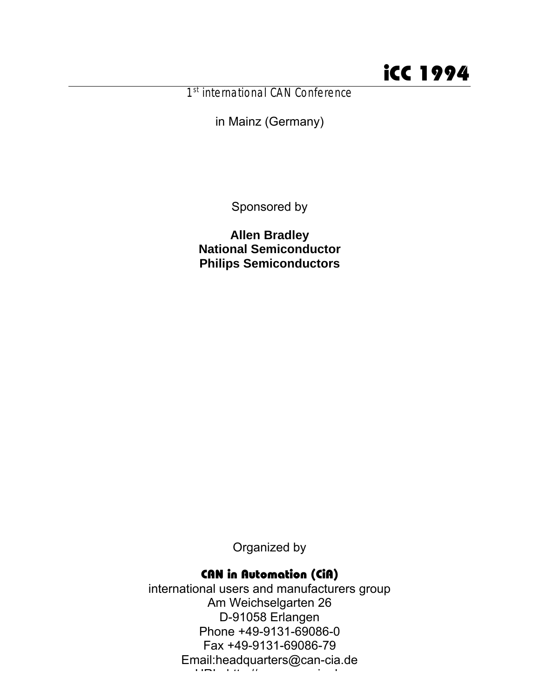1<sup>st</sup> international CAN Conference

in Mainz (Germany)

Sponsored by

**Allen Bradley National Semiconductor Philips Semiconductors**

Organized by

# CAN in Automation (CiA)

international users and manufacturers group Am Weichselgarten 26 D-91058 Erlangen Phone +49-9131-69086-0 Fax +49-9131-69086-79 Email:headquarters@can-cia.de URL: http://www.can-cia.de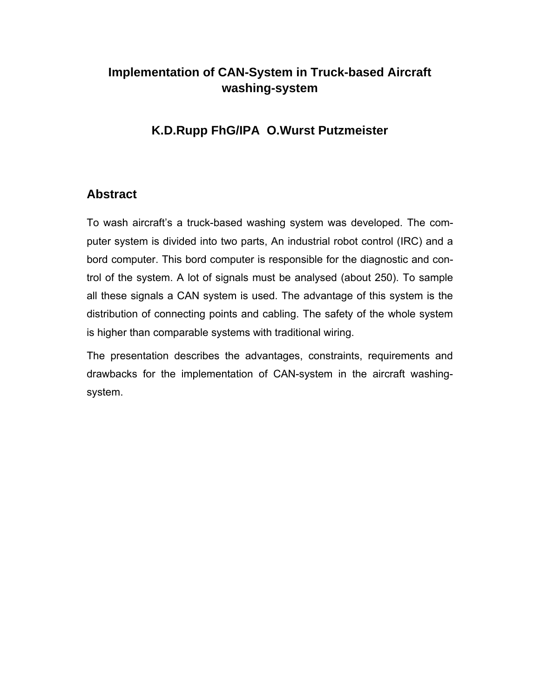# **Implementation of CAN-System in Truck-based Aircraft washing-system**

## **K.D.Rupp FhG/IPA O.Wurst Putzmeister**

### **Abstract**

To wash aircraft's a truck-based washing system was developed. The computer system is divided into two parts, An industrial robot control (IRC) and a bord computer. This bord computer is responsible for the diagnostic and control of the system. A lot of signals must be analysed (about 250). To sample all these signals a CAN system is used. The advantage of this system is the distribution of connecting points and cabling. The safety of the whole system is higher than comparable systems with traditional wiring.

The presentation describes the advantages, constraints, requirements and drawbacks for the implementation of CAN-system in the aircraft washingsystem.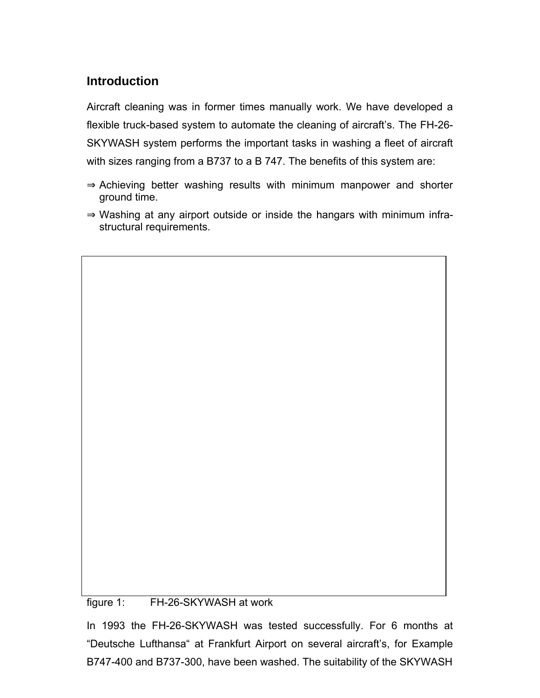# **Introduction**

Aircraft cleaning was in former times manually work. We have developed a flexible truck-based system to automate the cleaning of aircraft's. The FH-26- SKYWASH system performs the important tasks in washing a fleet of aircraft with sizes ranging from a B737 to a B 747. The benefits of this system are:

Achieving better washing results with minimum manpower and shorter ground time.

Washing at any airport outside or inside the hangars with minimum infrastructural requirements.

figure 1: FH-26-SKYWASH at work

In 1993 the FH-26-SKYWASH was tested successfully. For 6 months at "Deutsche Lufthansa" at Frankfurt Airport on several aircraft's, for Example B747-400 and B737-300, have been washed. The suitability of the SKYWASH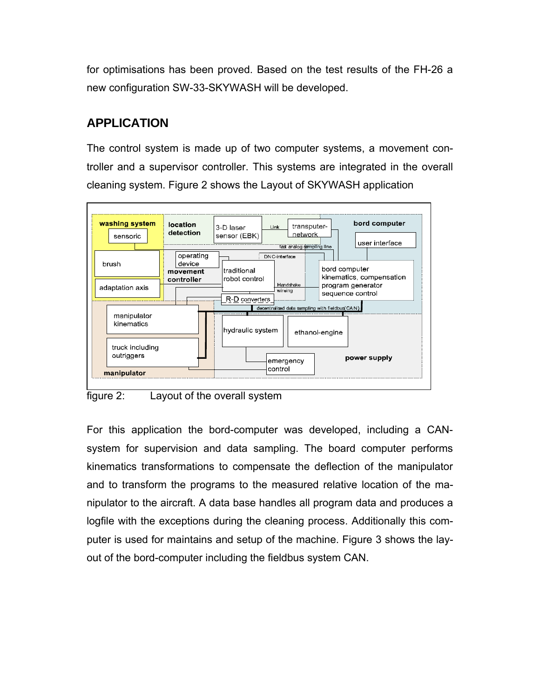for optimisations has been proved. Based on the test results of the FH-26 a new configuration SW-33-SKYWASH will be developed.

# **APPLICATION**

The control system is made up of two computer systems, a movement controller and a supervisor controller. This systems are integrated in the overall cleaning system. Figure 2 shows the Layout of SKYWASH application





For this application the bord-computer was developed, including a CANsystem for supervision and data sampling. The board computer performs kinematics transformations to compensate the deflection of the manipulator and to transform the programs to the measured relative location of the manipulator to the aircraft. A data base handles all program data and produces a logfile with the exceptions during the cleaning process. Additionally this computer is used for maintains and setup of the machine. Figure 3 shows the layout of the bord-computer including the fieldbus system CAN.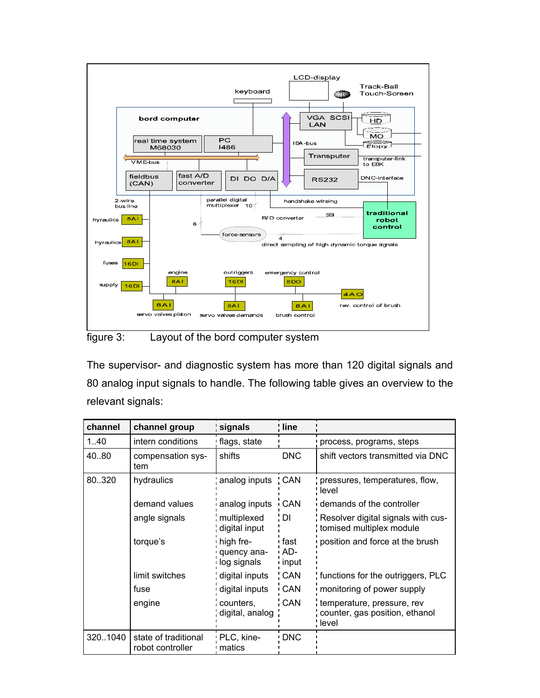

figure 3: Layout of the bord computer system

The supervisor- and diagnostic system has more than 120 digital signals and 80 analog input signals to handle. The following table gives an overview to the relevant signals:

| channel  | channel group                            | signals                                 | line                 |                                                                       |
|----------|------------------------------------------|-----------------------------------------|----------------------|-----------------------------------------------------------------------|
| 1.40     | intern conditions                        | flags, state                            |                      | process, programs, steps                                              |
| 40.80    | compensation sys-<br>tem                 | shifts                                  | <b>DNC</b>           | shift vectors transmitted via DNC                                     |
| 80.320   | hydraulics                               | analog inputs CAN                       |                      | pressures, temperatures, flow,<br>level                               |
|          | demand values                            | analog inputs                           | CAN                  | demands of the controller                                             |
|          | angle signals                            | multiplexed<br>digital input            | $\overline{D}$       | Resolver digital signals with cus-<br>tomised multiplex module        |
|          | torque's                                 | high fre-<br>quency ana-<br>log signals | fast<br>AD-<br>input | position and force at the brush                                       |
|          | limit switches                           | digital inputs                          | <b>CAN</b>           | functions for the outriggers, PLC                                     |
|          | fuse                                     | digital inputs                          | CAN                  | monitoring of power supply                                            |
|          | engine                                   | counters,<br>digital, analog            | CAN                  | temperature, pressure, rev<br>counter, gas position, ethanol<br>level |
| 320.1040 | state of traditional<br>robot controller | PLC, kine-<br>matics                    | DNC                  |                                                                       |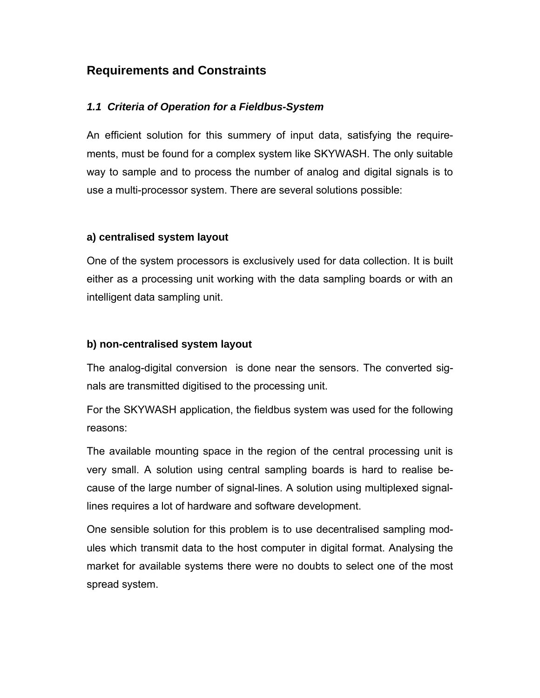### **Requirements and Constraints**

#### *1.1 Criteria of Operation for a Fieldbus-System*

An efficient solution for this summery of input data, satisfying the requirements, must be found for a complex system like SKYWASH. The only suitable way to sample and to process the number of analog and digital signals is to use a multi-processor system. There are several solutions possible:

#### **a) centralised system layout**

One of the system processors is exclusively used for data collection. It is built either as a processing unit working with the data sampling boards or with an intelligent data sampling unit.

#### **b) non-centralised system layout**

The analog-digital conversion is done near the sensors. The converted signals are transmitted digitised to the processing unit.

For the SKYWASH application, the fieldbus system was used for the following reasons:

The available mounting space in the region of the central processing unit is very small. A solution using central sampling boards is hard to realise because of the large number of signal-lines. A solution using multiplexed signallines requires a lot of hardware and software development.

One sensible solution for this problem is to use decentralised sampling modules which transmit data to the host computer in digital format. Analysing the market for available systems there were no doubts to select one of the most spread system.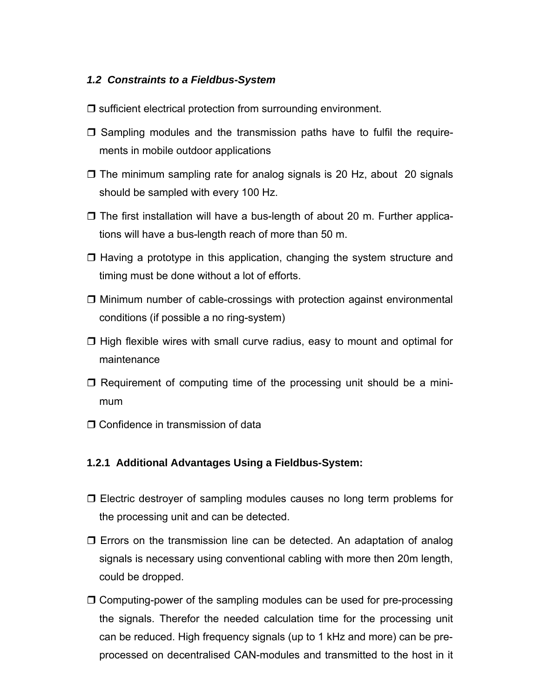#### *1.2 Constraints to a Fieldbus-System*

- $\Box$  sufficient electrical protection from surrounding environment.
- $\Box$  Sampling modules and the transmission paths have to fulfil the requirements in mobile outdoor applications
- $\Box$  The minimum sampling rate for analog signals is 20 Hz, about 20 signals should be sampled with every 100 Hz.
- $\Box$  The first installation will have a bus-length of about 20 m. Further applications will have a bus-length reach of more than 50 m.
- $\Box$  Having a prototype in this application, changing the system structure and timing must be done without a lot of efforts.
- $\Box$  Minimum number of cable-crossings with protection against environmental conditions (if possible a no ring-system)
- $\Box$  High flexible wires with small curve radius, easy to mount and optimal for maintenance
- $\Box$  Requirement of computing time of the processing unit should be a minimum
- $\Box$  Confidence in transmission of data

#### **1.2.1 Additional Advantages Using a Fieldbus-System:**

- $\Box$  Electric destroyer of sampling modules causes no long term problems for the processing unit and can be detected.
- $\Box$  Errors on the transmission line can be detected. An adaptation of analog signals is necessary using conventional cabling with more then 20m length, could be dropped.
- $\Box$  Computing-power of the sampling modules can be used for pre-processing the signals. Therefor the needed calculation time for the processing unit can be reduced. High frequency signals (up to 1 kHz and more) can be preprocessed on decentralised CAN-modules and transmitted to the host in it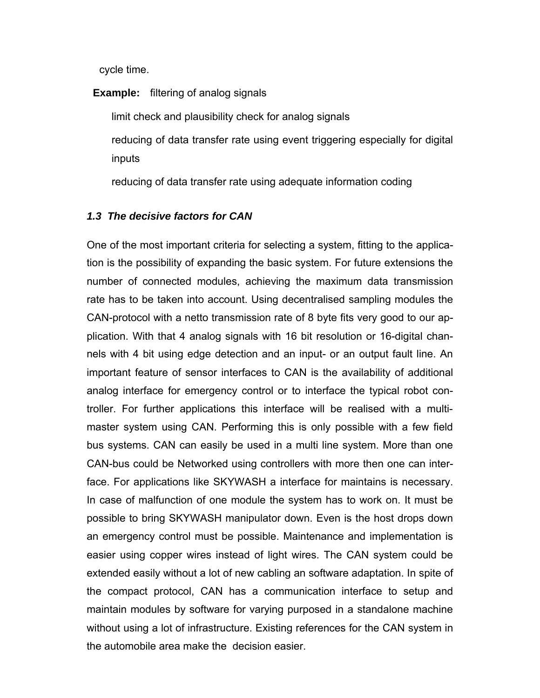cycle time.

**Example:** filtering of analog signals

limit check and plausibility check for analog signals reducing of data transfer rate using event triggering especially for digital inputs

reducing of data transfer rate using adequate information coding

#### *1.3 The decisive factors for CAN*

One of the most important criteria for selecting a system, fitting to the application is the possibility of expanding the basic system. For future extensions the number of connected modules, achieving the maximum data transmission rate has to be taken into account. Using decentralised sampling modules the CAN-protocol with a netto transmission rate of 8 byte fits very good to our application. With that 4 analog signals with 16 bit resolution or 16-digital channels with 4 bit using edge detection and an input- or an output fault line. An important feature of sensor interfaces to CAN is the availability of additional analog interface for emergency control or to interface the typical robot controller. For further applications this interface will be realised with a multimaster system using CAN. Performing this is only possible with a few field bus systems. CAN can easily be used in a multi line system. More than one CAN-bus could be Networked using controllers with more then one can interface. For applications like SKYWASH a interface for maintains is necessary. In case of malfunction of one module the system has to work on. It must be possible to bring SKYWASH manipulator down. Even is the host drops down an emergency control must be possible. Maintenance and implementation is easier using copper wires instead of light wires. The CAN system could be extended easily without a lot of new cabling an software adaptation. In spite of the compact protocol, CAN has a communication interface to setup and maintain modules by software for varying purposed in a standalone machine without using a lot of infrastructure. Existing references for the CAN system in the automobile area make the decision easier.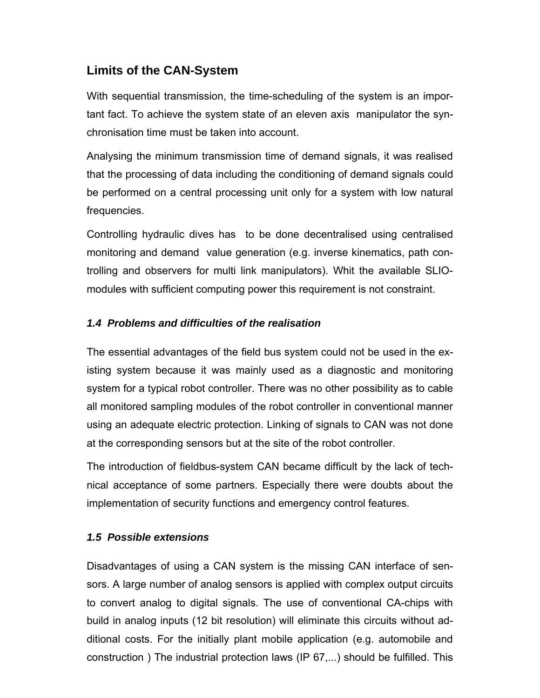## **Limits of the CAN-System**

With sequential transmission, the time-scheduling of the system is an important fact. To achieve the system state of an eleven axis manipulator the synchronisation time must be taken into account.

Analysing the minimum transmission time of demand signals, it was realised that the processing of data including the conditioning of demand signals could be performed on a central processing unit only for a system with low natural frequencies.

Controlling hydraulic dives has to be done decentralised using centralised monitoring and demand value generation (e.g. inverse kinematics, path controlling and observers for multi link manipulators). Whit the available SLIOmodules with sufficient computing power this requirement is not constraint.

### *1.4 Problems and difficulties of the realisation*

The essential advantages of the field bus system could not be used in the existing system because it was mainly used as a diagnostic and monitoring system for a typical robot controller. There was no other possibility as to cable all monitored sampling modules of the robot controller in conventional manner using an adequate electric protection. Linking of signals to CAN was not done at the corresponding sensors but at the site of the robot controller.

The introduction of fieldbus-system CAN became difficult by the lack of technical acceptance of some partners. Especially there were doubts about the implementation of security functions and emergency control features.

### *1.5 Possible extensions*

Disadvantages of using a CAN system is the missing CAN interface of sensors. A large number of analog sensors is applied with complex output circuits to convert analog to digital signals. The use of conventional CA-chips with build in analog inputs (12 bit resolution) will eliminate this circuits without additional costs. For the initially plant mobile application (e.g. automobile and construction ) The industrial protection laws (IP 67,...) should be fulfilled. This